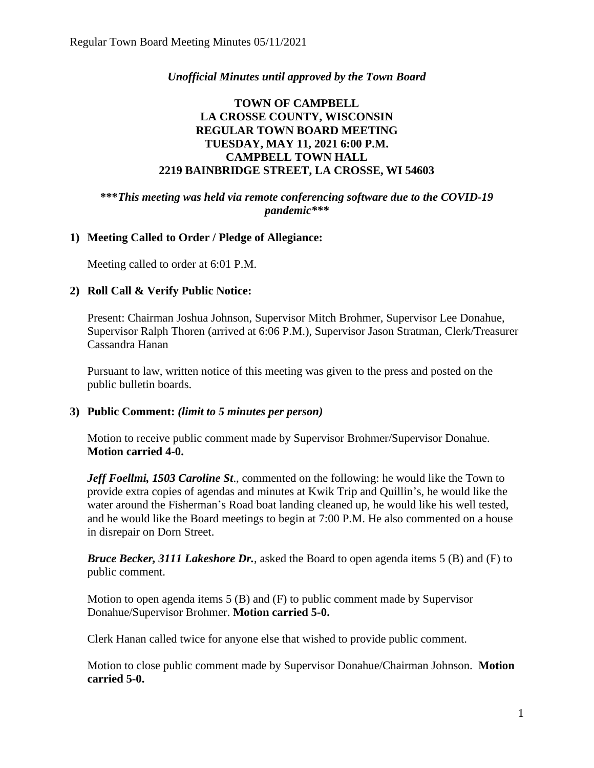## *Unofficial Minutes until approved by the Town Board*

### **TOWN OF CAMPBELL LA CROSSE COUNTY, WISCONSIN REGULAR TOWN BOARD MEETING TUESDAY, MAY 11, 2021 6:00 P.M. CAMPBELL TOWN HALL 2219 BAINBRIDGE STREET, LA CROSSE, WI 54603**

**\*\*\****This meeting was held via remote conferencing software due to the COVID-19 pandemic\*\*\**

### **1) Meeting Called to Order / Pledge of Allegiance:**

Meeting called to order at 6:01 P.M.

### **2) Roll Call & Verify Public Notice:**

Present: Chairman Joshua Johnson, Supervisor Mitch Brohmer, Supervisor Lee Donahue, Supervisor Ralph Thoren (arrived at 6:06 P.M.), Supervisor Jason Stratman, Clerk/Treasurer Cassandra Hanan

Pursuant to law, written notice of this meeting was given to the press and posted on the public bulletin boards.

### **3) Public Comment:** *(limit to 5 minutes per person)*

Motion to receive public comment made by Supervisor Brohmer/Supervisor Donahue. **Motion carried 4-0.**

*Jeff Foellmi, 1503 Caroline St*., commented on the following: he would like the Town to provide extra copies of agendas and minutes at Kwik Trip and Quillin's, he would like the water around the Fisherman's Road boat landing cleaned up, he would like his well tested, and he would like the Board meetings to begin at 7:00 P.M. He also commented on a house in disrepair on Dorn Street.

*Bruce Becker, 3111 Lakeshore Dr.*, asked the Board to open agenda items 5 (B) and (F) to public comment.

Motion to open agenda items 5 (B) and (F) to public comment made by Supervisor Donahue/Supervisor Brohmer. **Motion carried 5-0.** 

Clerk Hanan called twice for anyone else that wished to provide public comment.

Motion to close public comment made by Supervisor Donahue/Chairman Johnson. **Motion carried 5-0.**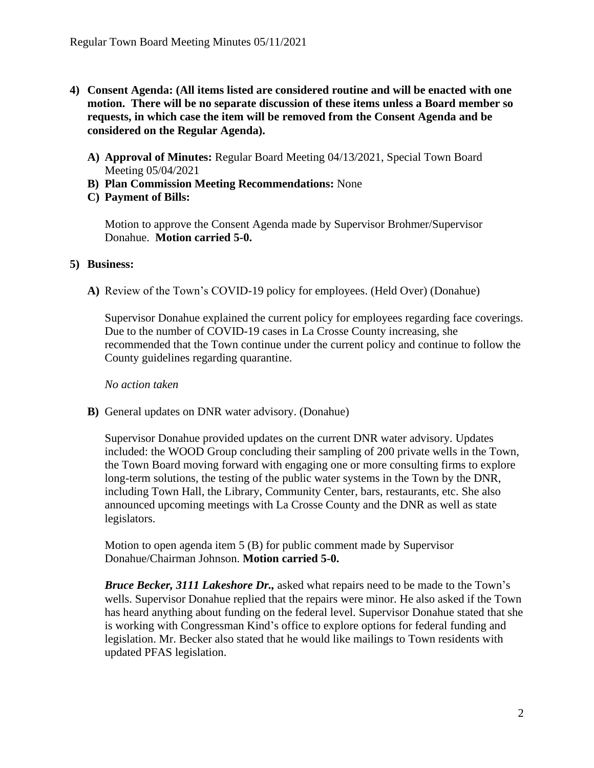- **4) Consent Agenda: (All items listed are considered routine and will be enacted with one motion. There will be no separate discussion of these items unless a Board member so requests, in which case the item will be removed from the Consent Agenda and be considered on the Regular Agenda).**
	- **A) Approval of Minutes:** Regular Board Meeting 04/13/2021, Special Town Board Meeting 05/04/2021
	- **B) Plan Commission Meeting Recommendations:** None
	- **C) Payment of Bills:**

Motion to approve the Consent Agenda made by Supervisor Brohmer/Supervisor Donahue. **Motion carried 5-0.** 

#### **5) Business:**

**A)** Review of the Town's COVID-19 policy for employees. (Held Over) (Donahue)

Supervisor Donahue explained the current policy for employees regarding face coverings. Due to the number of COVID-19 cases in La Crosse County increasing, she recommended that the Town continue under the current policy and continue to follow the County guidelines regarding quarantine.

*No action taken*

**B)** General updates on DNR water advisory. (Donahue)

Supervisor Donahue provided updates on the current DNR water advisory. Updates included: the WOOD Group concluding their sampling of 200 private wells in the Town, the Town Board moving forward with engaging one or more consulting firms to explore long-term solutions, the testing of the public water systems in the Town by the DNR, including Town Hall, the Library, Community Center, bars, restaurants, etc. She also announced upcoming meetings with La Crosse County and the DNR as well as state legislators.

Motion to open agenda item 5 (B) for public comment made by Supervisor Donahue/Chairman Johnson. **Motion carried 5-0.**

*Bruce Becker, 3111 Lakeshore Dr.,* asked what repairs need to be made to the Town's wells. Supervisor Donahue replied that the repairs were minor. He also asked if the Town has heard anything about funding on the federal level. Supervisor Donahue stated that she is working with Congressman Kind's office to explore options for federal funding and legislation. Mr. Becker also stated that he would like mailings to Town residents with updated PFAS legislation.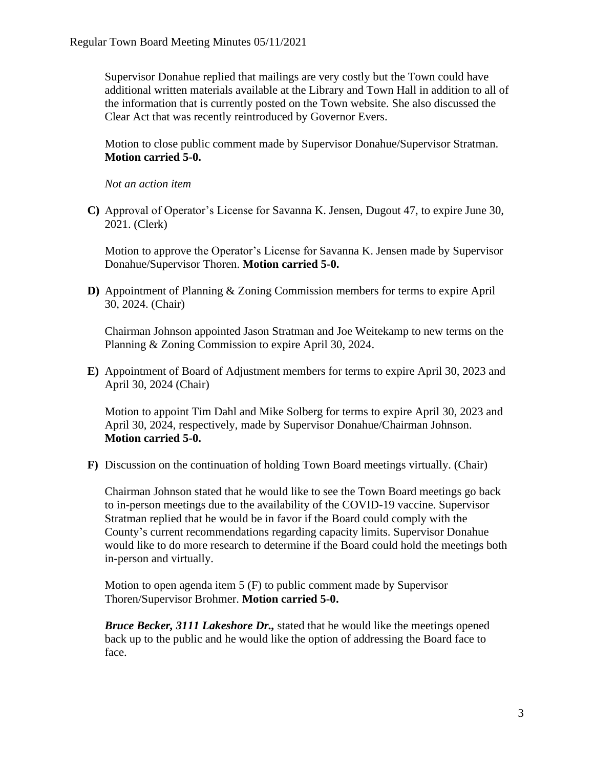Supervisor Donahue replied that mailings are very costly but the Town could have additional written materials available at the Library and Town Hall in addition to all of the information that is currently posted on the Town website. She also discussed the Clear Act that was recently reintroduced by Governor Evers.

Motion to close public comment made by Supervisor Donahue/Supervisor Stratman. **Motion carried 5-0.**

*Not an action item*

**C)** Approval of Operator's License for Savanna K. Jensen, Dugout 47, to expire June 30, 2021. (Clerk)

Motion to approve the Operator's License for Savanna K. Jensen made by Supervisor Donahue/Supervisor Thoren. **Motion carried 5-0.**

**D)** Appointment of Planning & Zoning Commission members for terms to expire April 30, 2024. (Chair)

Chairman Johnson appointed Jason Stratman and Joe Weitekamp to new terms on the Planning & Zoning Commission to expire April 30, 2024.

**E)** Appointment of Board of Adjustment members for terms to expire April 30, 2023 and April 30, 2024 (Chair)

Motion to appoint Tim Dahl and Mike Solberg for terms to expire April 30, 2023 and April 30, 2024, respectively, made by Supervisor Donahue/Chairman Johnson. **Motion carried 5-0.**

**F)** Discussion on the continuation of holding Town Board meetings virtually. (Chair)

Chairman Johnson stated that he would like to see the Town Board meetings go back to in-person meetings due to the availability of the COVID-19 vaccine. Supervisor Stratman replied that he would be in favor if the Board could comply with the County's current recommendations regarding capacity limits. Supervisor Donahue would like to do more research to determine if the Board could hold the meetings both in-person and virtually.

Motion to open agenda item 5 (F) to public comment made by Supervisor Thoren/Supervisor Brohmer. **Motion carried 5-0.**

*Bruce Becker, 3111 Lakeshore Dr.,* stated that he would like the meetings opened back up to the public and he would like the option of addressing the Board face to face.